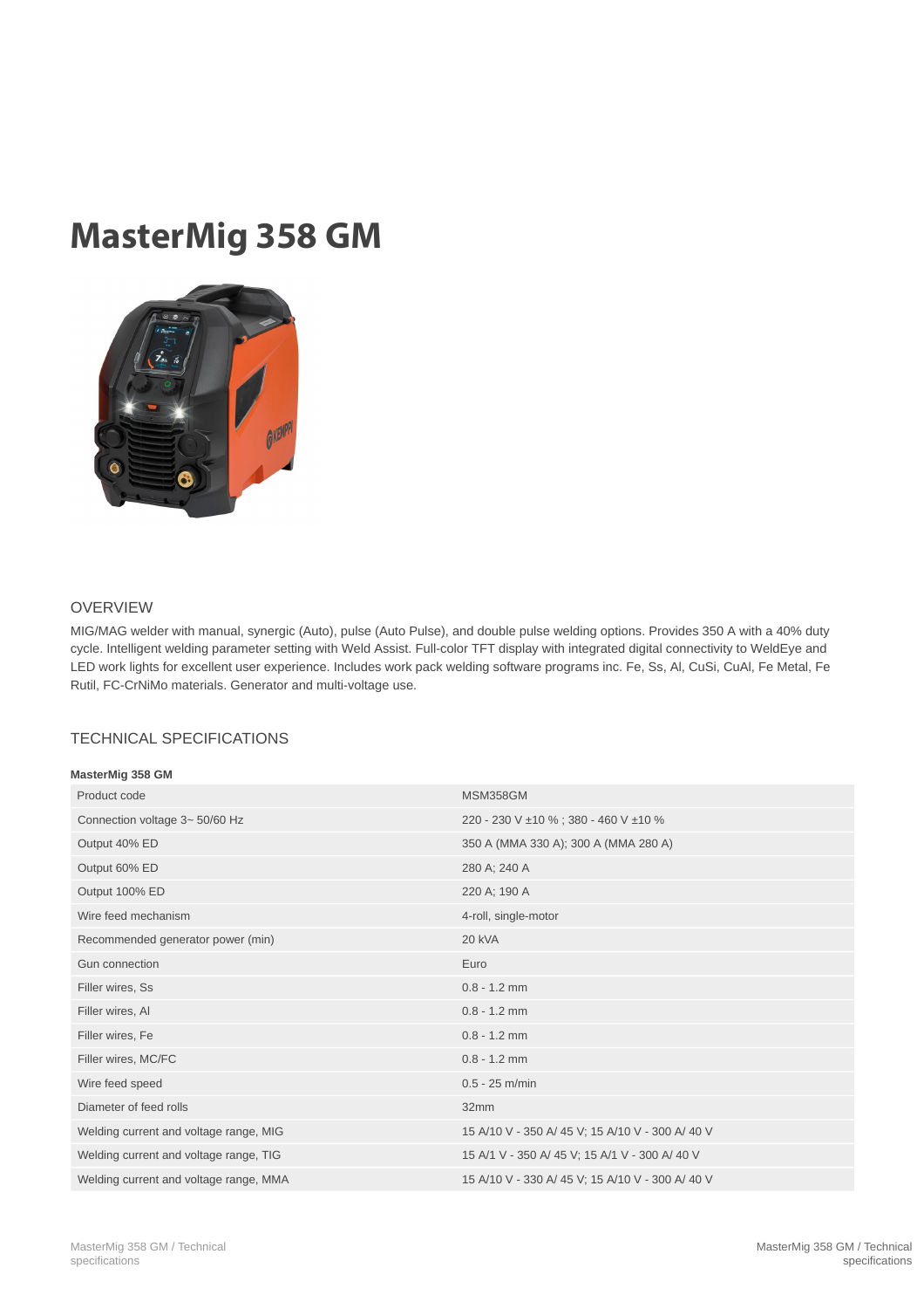## MasterMig 358 GM



## OVERVIEW

MIG/MAG welder with manual, synergic (Auto), pulse (Auto Pulse), and double pulse welding options. Provides 350 A with a 40% duty cycle. Intelligent welding parameter setting with Weld Assist. Full-color TFT display with integrated digital connectivity to WeldEye and LED work lights for excellent user experience. Includes work pack welding software programs inc. Fe, Ss, Al, CuSi, CuAl, Fe Metal, Fe Rutil, FC-CrNiMo materials. Generator and multi-voltage use.

## TECHNICAL SPECIFICATIONS

| MasterMig 358 GM |  |
|------------------|--|
|                  |  |

| Product code                           | <b>MSM358GM</b>                                  |
|----------------------------------------|--------------------------------------------------|
| Connection voltage 3~50/60 Hz          | 220 - 230 V ±10 %; 380 - 460 V ±10 %             |
| Output 40% ED                          | 350 A (MMA 330 A); 300 A (MMA 280 A)             |
| Output 60% ED                          | 280 A; 240 A                                     |
| Output 100% ED                         | 220 A; 190 A                                     |
| Wire feed mechanism                    | 4-roll, single-motor                             |
| Recommended generator power (min)      | 20 kVA                                           |
| Gun connection                         | Euro                                             |
| Filler wires, Ss                       | $0.8 - 1.2$ mm                                   |
| Filler wires, Al                       | $0.8 - 1.2$ mm                                   |
| Filler wires, Fe                       | $0.8 - 1.2$ mm                                   |
| Filler wires, MC/FC                    | $0.8 - 1.2$ mm                                   |
| Wire feed speed                        | $0.5 - 25$ m/min                                 |
| Diameter of feed rolls                 | 32mm                                             |
| Welding current and voltage range, MIG | 15 A/10 V - 350 A/ 45 V; 15 A/10 V - 300 A/ 40 V |
| Welding current and voltage range, TIG | 15 A/1 V - 350 A/ 45 V; 15 A/1 V - 300 A/ 40 V   |
| Welding current and voltage range, MMA | 15 A/10 V - 330 A/ 45 V; 15 A/10 V - 300 A/ 40 V |